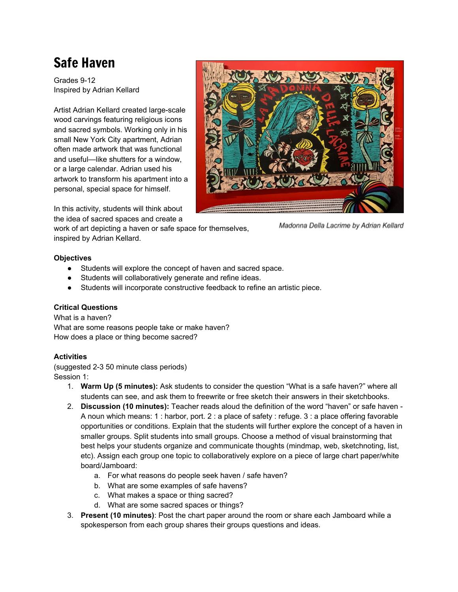# Safe Haven

Grades 9-12 Inspired by Adrian Kellard

Artist Adrian Kellard created large-scale wood carvings featuring religious icons and sacred symbols. Working only in his small New York City apartment, Adrian often made artwork that was functional and useful—like shutters for a window, or a large calendar. Adrian used his artwork to transform his apartment into a personal, special space for himself.



In this activity, students will think about the idea of sacred spaces and create a

work of art depicting a haven or safe space for themselves, inspired by Adrian Kellard.

Madonna Della Lacrime by Adrian Kellard

# **Objectives**

- Students will explore the concept of haven and sacred space.
- Students will collaboratively generate and refine ideas.
- Students will incorporate constructive feedback to refine an artistic piece.

# **Critical Questions**

What is a haven? What are some reasons people take or make haven? How does a place or thing become sacred?

# **Activities**

(suggested 2-3 50 minute class periods) Session 1:

- 1. **Warm Up (5 minutes):** Ask students to consider the question "What is a safe haven?" where all students can see, and ask them to freewrite or free sketch their answers in their sketchbooks.
- 2. **Discussion (10 minutes):** Teacher reads aloud the definition of the word "haven" or safe haven A noun which means: 1 : harbor, port. 2 : a place of safety : refuge. 3 : a place offering favorable opportunities or conditions. Explain that the students will further explore the concept of a haven in smaller groups. Split students into small groups. Choose a method of visual brainstorming that best helps your students organize and communicate thoughts (mindmap, web, sketchnoting, list, etc). Assign each group one topic to collaboratively explore on a piece of large chart paper/white board/Jamboard:
	- a. For what reasons do people seek haven / safe haven?
	- b. What are some examples of safe havens?
	- c. What makes a space or thing sacred?
	- d. What are some sacred spaces or things?
- 3. **Present (10 minutes)**: Post the chart paper around the room or share each Jamboard while a spokesperson from each group shares their groups questions and ideas.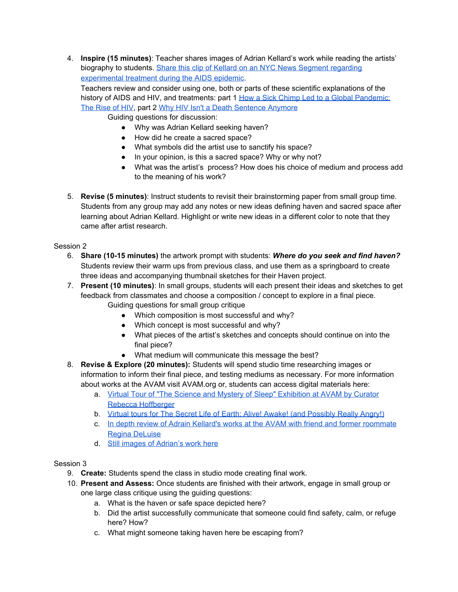4. **Inspire (15 minutes)**: Teacher shares images of Adrian Kellard's work while reading the artists' biography to students. Share this clip of Kellard on an NYC News Segment [regarding](https://www.youtube.com/watch?v=6KRqRJ0YX5Q&feature=youtu.be) [experimental](https://www.youtube.com/watch?v=6KRqRJ0YX5Q&feature=youtu.be) treatment during the AIDS epidemic.

Teachers review and consider using one, both or parts of these scientific explanations of the history of AIDS and HIV, and treatments: part 1 How a Sick Chimp Led to a Global [Pandemic:](https://www.youtube.com/watch?v=izwomieBwG0) The [Rise](https://www.youtube.com/watch?v=izwomieBwG0) of HIV, part 2 Why HIV Isn't a Death [Sentence](https://www.youtube.com/watch?v=U52g6ZlR1W0) Anymore

Guiding questions for discussion:

- Why was Adrian Kellard seeking haven?
- How did he create a sacred space?
- What symbols did the artist use to sanctify his space?
- In your opinion, is this a sacred space? Why or why not?
- What was the artist's process? How does his choice of medium and process add to the meaning of his work?
- 5. **Revise (5 minutes)**: Instruct students to revisit their brainstorming paper from small group time. Students from any group may add any notes or new ideas defining haven and sacred space after learning about Adrian Kellard. Highlight or write new ideas in a different color to note that they came after artist research.

Session 2

- 6. **Share (10-15 minutes)** the artwork prompt with students: *Where do you seek and find haven?* Students review their warm ups from previous class, and use them as a springboard to create three ideas and accompanying thumbnail sketches for their Haven project.
- 7. **Present (10 minutes)**: In small groups, students will each present their ideas and sketches to get feedback from classmates and choose a composition / concept to explore in a final piece. Guiding questions for small group critique
	- Which composition is most successful and why?
	- Which concept is most successful and why?
	- What pieces of the artist's sketches and concepts should continue on into the final piece?
	- What medium will communicate this message the best?
- 8. **Revise & Explore (20 minutes):** Students will spend studio time researching images or information to inform their final piece, and testing mediums as necessary. For more information about works at the AVAM visit AVAM.org or, students can access digital materials here:
	- a. Virtual Tour of "The Science and Mystery of Sleep" [Exhibition](https://www.youtube.com/watch?v=HbZaPcyLx9o) at AVAM by Curator Rebecca [Hoffberger](https://www.youtube.com/watch?v=HbZaPcyLx9o)
	- b. Virtual tours for The Secret Life of Earth: Alive! Awake! (and [Possibly](https://www.youtube.com/watch?v=Y_GFQ2V_4SU&t=2701s) Really Angry!)
	- c. In depth review of Adrain Kellard's works at the AVAM with friend and former [roommate](https://www.youtube.com/watch?v=Y_GFQ2V_4SU&t=2701s) Regina [DeLuise](https://www.youtube.com/watch?v=Y_GFQ2V_4SU&t=2701s)
	- d. Still images of [Adrian's](https://drive.google.com/drive/folders/1_2WWOxUmSsu5HqF7ec96i-Qkh9FEChWC) work here

# Session 3

- 9. **Create:** Students spend the class in studio mode creating final work.
- 10. **Present and Assess:** Once students are finished with their artwork, engage in small group or one large class critique using the guiding questions:
	- a. What is the haven or safe space depicted here?
	- b. Did the artist successfully communicate that someone could find safety, calm, or refuge here? How?
	- c. What might someone taking haven here be escaping from?